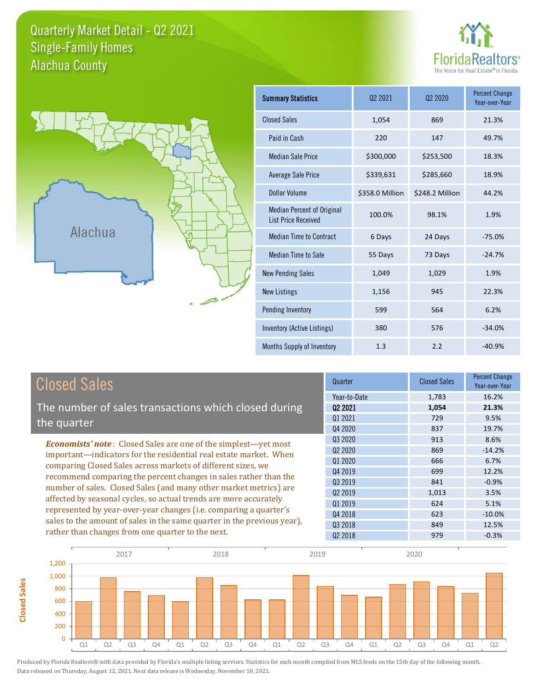## Quarterly Market Detail - Q2 2021 Alachua County Single-Family Homes





**Closed Sales**

**Closed Sales** 

| <b>Summary Statistics</b>                                       | 02 2021         | 02 2020         | <b>Percent Change</b><br>Year-over-Year |
|-----------------------------------------------------------------|-----------------|-----------------|-----------------------------------------|
| <b>Closed Sales</b>                                             | 1,054           | 869             | 21.3%                                   |
| Paid in Cash                                                    | 220             | 147             | 49.7%                                   |
| <b>Median Sale Price</b>                                        | \$300,000       | \$253,500       | 18.3%                                   |
| <b>Average Sale Price</b>                                       | \$339,631       | \$285,660       | 18.9%                                   |
| Dollar Volume                                                   | \$358.0 Million | \$248.2 Million | 44.2%                                   |
| <b>Median Percent of Original</b><br><b>List Price Received</b> | 100.0%          | 98.1%           | 1.9%                                    |
| <b>Median Time to Contract</b>                                  | 6 Days          | 24 Days         | $-75.0%$                                |
| <b>Median Time to Sale</b>                                      | 55 Days         | 73 Days         | $-24.7%$                                |
| <b>New Pending Sales</b>                                        | 1,049           | 1,029           | 1.9%                                    |
| <b>New Listings</b>                                             | 1,156           | 945             | 22.3%                                   |
| Pending Inventory                                               | 599             | 564             | 6.2%                                    |
| Inventory (Active Listings)                                     | 380             | 576             | $-34.0%$                                |
| Months Supply of Inventory                                      | 1.3             | 2.2             | $-40.9%$                                |

| <b>Closed Sales</b>                                                                                                              | Quarter      | <b>Closed Sales</b> | <b>Percent Change</b><br>Year-over-Year |
|----------------------------------------------------------------------------------------------------------------------------------|--------------|---------------------|-----------------------------------------|
|                                                                                                                                  | Year-to-Date | 1,783               | 16.2%                                   |
| The number of sales transactions which closed during                                                                             | 02 2021      | 1,054               | 21.3%                                   |
| the quarter                                                                                                                      | 01 2021      | 729                 | 9.5%                                    |
|                                                                                                                                  | Q4 2020      | 837                 | 19.7%                                   |
| <b>Economists' note:</b> Closed Sales are one of the simplest—yet most                                                           | Q3 2020      | 913                 | 8.6%                                    |
| important—indicators for the residential real estate market. When                                                                | 02 2020      | 869                 | $-14.2%$                                |
| comparing Closed Sales across markets of different sizes, we<br>recommend comparing the percent changes in sales rather than the | Q1 2020      | 666                 | 6.7%                                    |
|                                                                                                                                  | Q4 2019      | 699                 | 12.2%                                   |
|                                                                                                                                  | Q3 2019      | 841                 | $-0.9%$                                 |
| number of sales. Closed Sales (and many other market metrics) are                                                                | 02 2019      | 1,013               | 3.5%                                    |
| affected by seasonal cycles, so actual trends are more accurately                                                                | 01 2019      | 624                 | 5.1%                                    |
| represented by year-over-year changes (i.e. comparing a quarter's                                                                | Q4 2018      | 623                 | $-10.0\%$                               |
| sales to the amount of sales in the same quarter in the previous year),                                                          | 03 2018      | 849                 | 12.5%                                   |
| rather than changes from one quarter to the next.                                                                                | 02 2018      | 979                 | $-0.3%$                                 |

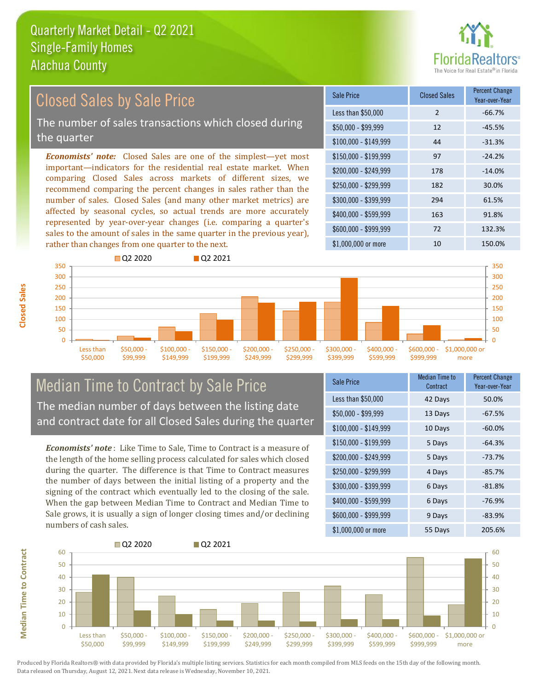

#### *Economists' note:* Closed Sales are one of the simplest—yet most important—indicators for the residential real estate market. When comparing Closed Sales across markets of different sizes, we recommend comparing the percent changes in sales rather than the number of sales. Closed Sales (and many other market metrics) are affected by seasonal cycles, so actual trends are more accurately represented by year-over-year changes (i.e. comparing a quarter's sales to the amount of sales in the same quarter in the previous year), rather than changes from one quarter to the next. \$1,000,000 or more 10 10 150.0% \$250,000 - \$299,999 182 30.0% \$300,000 - \$399,999 294 61.5% \$400,000 - \$599,999 163 91.8% \$600,000 - \$999,999 72 132.3% \$150,000 - \$199,999 97 -24.2% \$200,000 - \$249,999 178 -14.0%  $$100,000 - $149,999$  44  $-31.3\%$ Sale Price Closed Sales Percent Change Year-over-Year Less than \$50,000 2 -66.7% \$50,000 - \$99,999 12 -45.5% 350 Q2 2020 Q2 2021 350 Closed Sales by Sale Price The number of sales transactions which closed during the quarter



## Median Time to Contract by Sale Price The median number of days between the listing date and contract date for all Closed Sales during the quarter

*Economists' note* : Like Time to Sale, Time to Contract is a measure of the length of the home selling process calculated for sales which closed during the quarter. The difference is that Time to Contract measures the number of days between the initial listing of a property and the signing of the contract which eventually led to the closing of the sale. When the gap between Median Time to Contract and Median Time to Sale grows, it is usually a sign of longer closing times and/or declining numbers of cash sales.

| Sale Price            | Median Time to<br>Contract | <b>Percent Change</b><br>Year-over-Year |
|-----------------------|----------------------------|-----------------------------------------|
| Less than \$50,000    | 42 Days                    | 50.0%                                   |
| $$50,000 - $99,999$   | 13 Days                    | $-67.5%$                                |
| $$100,000 - $149,999$ | 10 Days                    | $-60.0%$                                |
| $$150,000 - $199,999$ | 5 Days                     | $-64.3%$                                |
| \$200,000 - \$249,999 | 5 Days                     | $-73.7%$                                |
| \$250,000 - \$299,999 | 4 Days                     | $-85.7%$                                |
| \$300,000 - \$399,999 | 6 Days                     | $-81.8%$                                |
| \$400,000 - \$599,999 | 6 Days                     | $-76.9%$                                |
| \$600,000 - \$999,999 | 9 Days                     | $-83.9%$                                |
| $$1,000,000$ or more  | 55 Days                    | 205.6%                                  |



**Closed Sales**

**Median Time to Contract Median Time to Contract**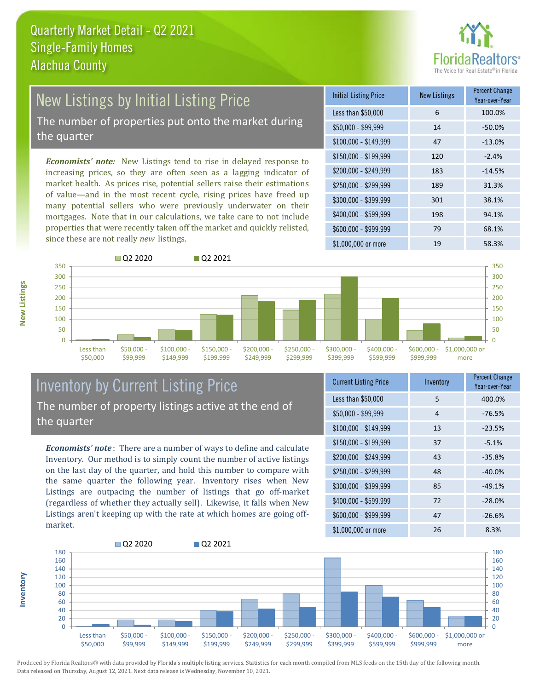

# New Listings by Initial Listing Price

The number of properties put onto the market during the quarter

*Economists' note:* New Listings tend to rise in delayed response to increasing prices, so they are often seen as a lagging indicator of market health. As prices rise, potential sellers raise their estimations of value—and in the most recent cycle, rising prices have freed up many potential sellers who were previously underwater on their mortgages. Note that in our calculations, we take care to not include properties that were recently taken off the market and quickly relisted, since these are not really *new* listings.

| <b>Initial Listing Price</b> | <b>New Listings</b> | <b>Percent Change</b><br>Year-over-Year |
|------------------------------|---------------------|-----------------------------------------|
| Less than \$50,000           | 6                   | 100.0%                                  |
| $$50,000 - $99,999$          | 14                  | $-50.0%$                                |
| $$100,000 - $149,999$        | 47                  | $-13.0%$                                |
| $$150,000 - $199,999$        | 120                 | $-2.4%$                                 |
| \$200,000 - \$249,999        | 183                 | $-14.5%$                                |
| \$250,000 - \$299,999        | 189                 | 31.3%                                   |
| \$300,000 - \$399,999        | 301                 | 38.1%                                   |
| \$400,000 - \$599,999        | 198                 | 94.1%                                   |
| \$600,000 - \$999,999        | 79                  | 68.1%                                   |
| \$1,000,000 or more          | 19                  | 58.3%                                   |



## Inventory by Current Listing Price The number of property listings active at the end of the quarter

*Economists' note* : There are a number of ways to define and calculate Inventory. Our method is to simply count the number of active listings on the last day of the quarter, and hold this number to compare with the same quarter the following year. Inventory rises when New Listings are outpacing the number of listings that go off-market (regardless of whether they actually sell). Likewise, it falls when New Listings aren't keeping up with the rate at which homes are going offmarket.

| <b>Current Listing Price</b> | Inventory | <b>Percent Change</b><br>Year-over-Year |
|------------------------------|-----------|-----------------------------------------|
| Less than \$50,000           | 5         | 400.0%                                  |
| $$50,000 - $99,999$          | 4         | $-76.5%$                                |
| $$100,000 - $149,999$        | 13        | $-23.5%$                                |
| $$150,000 - $199,999$        | 37        | $-5.1%$                                 |
| \$200,000 - \$249,999        | 43        | $-35.8%$                                |
| \$250,000 - \$299,999        | 48        | $-40.0%$                                |
| \$300,000 - \$399,999        | 85        | $-49.1%$                                |
| \$400,000 - \$599,999        | 72        | $-28.0%$                                |
| \$600,000 - \$999,999        | 47        | $-26.6%$                                |
| \$1,000,000 or more          | 26        | 8.3%                                    |



Produced by Florida Realtors® with data provided by Florida's multiple listing services. Statistics for each month compiled from MLS feeds on the 15th day of the following month. Data released on Thursday, August 12, 2021. Next data release is Wednesday, November 10, 2021.

**Inventory**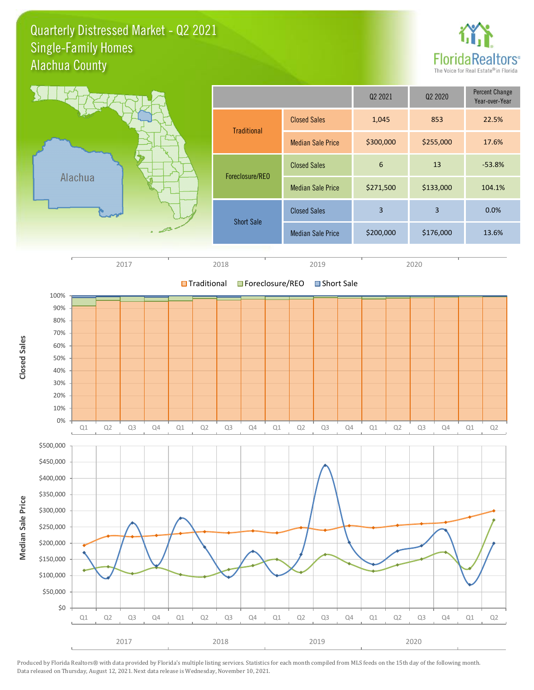Quarterly Distressed Market - Q2 2021 Alachua County Single-Family Homes



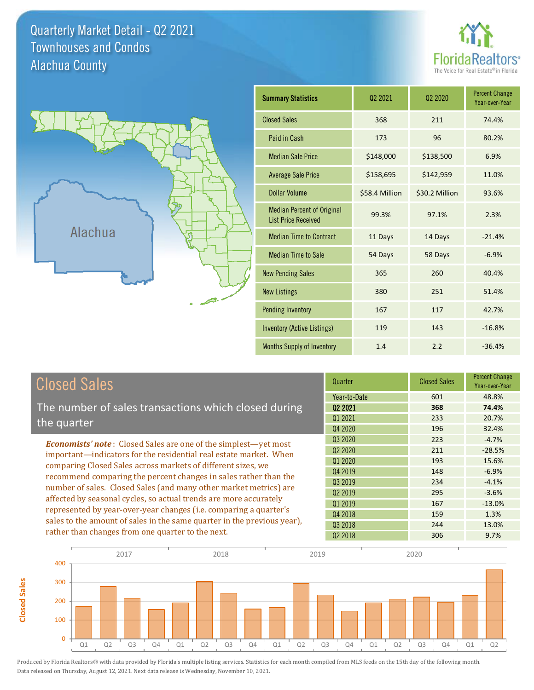Quarterly Market Detail - Q2 2021 Alachua County Townhouses and Condos





**Closed Sales**

**Closed Sales** 

| <b>Summary Statistics</b>                                       | 02 2021        | 02 2020        | <b>Percent Change</b><br>Year-over-Year |
|-----------------------------------------------------------------|----------------|----------------|-----------------------------------------|
| <b>Closed Sales</b>                                             | 368            | 211            | 74.4%                                   |
| Paid in Cash                                                    | 173            | 96             | 80.2%                                   |
| <b>Median Sale Price</b>                                        | \$148,000      | \$138,500      | 6.9%                                    |
| <b>Average Sale Price</b>                                       | \$158,695      | \$142,959      | 11.0%                                   |
| Dollar Volume                                                   | \$58.4 Million | \$30.2 Million | 93.6%                                   |
| <b>Median Percent of Original</b><br><b>List Price Received</b> | 99.3%          | 97.1%          | 2.3%                                    |
| <b>Median Time to Contract</b>                                  | 11 Days        | 14 Days        | $-21.4%$                                |
| <b>Median Time to Sale</b>                                      | 54 Days        | 58 Days        | $-6.9%$                                 |
| <b>New Pending Sales</b>                                        | 365            | 260            | 40.4%                                   |
| <b>New Listings</b>                                             | 380            | 251            | 51.4%                                   |
| <b>Pending Inventory</b>                                        | 167            | 117            | 42.7%                                   |
| <b>Inventory (Active Listings)</b>                              | 119            | 143            | $-16.8%$                                |
| <b>Months Supply of Inventory</b>                               | 1.4            | 2.2            | $-36.4%$                                |

| <b>Closed Sales</b>                                                                                                                                                                                   | Quarter             | <b>Closed Sales</b> | <b>Percent Change</b><br>Year-over-Year |
|-------------------------------------------------------------------------------------------------------------------------------------------------------------------------------------------------------|---------------------|---------------------|-----------------------------------------|
|                                                                                                                                                                                                       | Year-to-Date        | 601                 | 48.8%                                   |
| The number of sales transactions which closed during                                                                                                                                                  | 02 2021             | 368                 | 74.4%                                   |
| the quarter                                                                                                                                                                                           | Q1 2021             | 233                 | 20.7%                                   |
|                                                                                                                                                                                                       | Q4 2020             | 196                 | 32.4%                                   |
| <b>Economists' note:</b> Closed Sales are one of the simplest—yet most                                                                                                                                | Q3 2020             | 223                 | $-4.7%$                                 |
| important—indicators for the residential real estate market. When<br>comparing Closed Sales across markets of different sizes, we<br>recommend comparing the percent changes in sales rather than the | Q <sub>2</sub> 2020 | 211                 | $-28.5%$                                |
|                                                                                                                                                                                                       | Q1 2020             | 193                 | 15.6%                                   |
|                                                                                                                                                                                                       | Q4 2019             | 148                 | $-6.9%$                                 |
|                                                                                                                                                                                                       | 03 2019             | 234                 | $-4.1%$                                 |
| number of sales. Closed Sales (and many other market metrics) are                                                                                                                                     | 02 2019             | 295                 | $-3.6%$                                 |
| affected by seasonal cycles, so actual trends are more accurately                                                                                                                                     | Q1 2019             | 167                 | $-13.0%$                                |
| represented by year-over-year changes (i.e. comparing a quarter's                                                                                                                                     | Q4 2018             | 159                 | 1.3%                                    |
| sales to the amount of sales in the same quarter in the previous year),                                                                                                                               | 03 2018             | 244                 | 13.0%                                   |
| rather than changes from one quarter to the next.                                                                                                                                                     | 02 2018             | 306                 | 9.7%                                    |

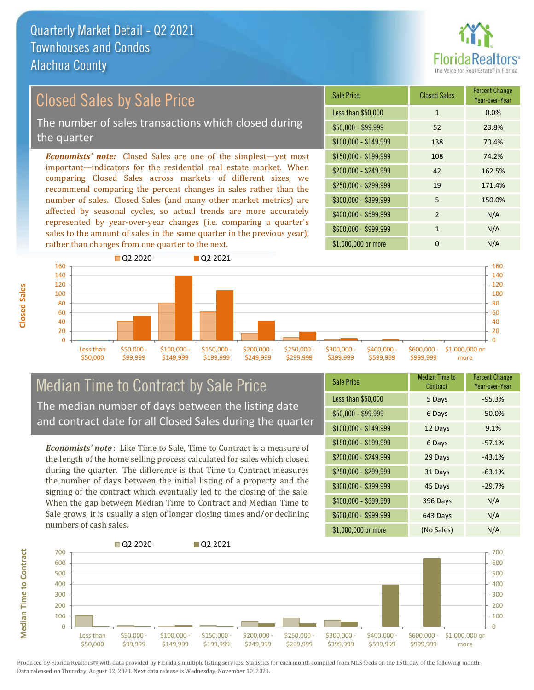

## Closed Sales by Sale Price

The number of sales transactions which closed during the quarter

*Economists' note:* Closed Sales are one of the simplest—yet most important—indicators for the residential real estate market. When comparing Closed Sales across markets of different sizes, we recommend comparing the percent changes in sales rather than the number of sales. Closed Sales (and many other market metrics) are affected by seasonal cycles, so actual trends are more accurately represented by year-over-year changes (i.e. comparing a quarter's sales to the amount of sales in the same quarter in the previous year), rather than changes from one quarter to the next.

| <b>Sale Price</b>     | <b>Closed Sales</b> | <b>Percent Change</b><br>Year-over-Year |
|-----------------------|---------------------|-----------------------------------------|
| Less than \$50,000    | $\mathbf{1}$        | 0.0%                                    |
| $$50,000 - $99,999$   | 52                  | 23.8%                                   |
| $$100,000 - $149,999$ | 138                 | 70.4%                                   |
| $$150,000 - $199,999$ | 108                 | 74.2%                                   |
| \$200,000 - \$249,999 | 42                  | 162.5%                                  |
| \$250,000 - \$299,999 | 19                  | 171.4%                                  |
| \$300,000 - \$399,999 | 5                   | 150.0%                                  |
| \$400,000 - \$599,999 | $\mathfrak{p}$      | N/A                                     |
| \$600,000 - \$999,999 | 1                   | N/A                                     |
| \$1,000,000 or more   | O                   | N/A                                     |



## Median Time to Contract by Sale Price The median number of days between the listing date and contract date for all Closed Sales during the quarter

*Economists' note* : Like Time to Sale, Time to Contract is a measure of the length of the home selling process calculated for sales which closed during the quarter. The difference is that Time to Contract measures the number of days between the initial listing of a property and the signing of the contract which eventually led to the closing of the sale. When the gap between Median Time to Contract and Median Time to Sale grows, it is usually a sign of longer closing times and/or declining numbers of cash sales.

| <b>Sale Price</b>     | Median Time to<br>Contract | <b>Percent Change</b><br>Year-over-Year |
|-----------------------|----------------------------|-----------------------------------------|
| Less than \$50,000    | 5 Days                     | $-95.3%$                                |
| $$50,000 - $99,999$   | 6 Days                     | $-50.0%$                                |
| $$100,000 - $149,999$ | 12 Days                    | 9.1%                                    |
| $$150,000 - $199,999$ | 6 Days                     | $-57.1%$                                |
| \$200,000 - \$249,999 | 29 Days                    | $-43.1%$                                |
| \$250,000 - \$299,999 | 31 Days                    | $-63.1%$                                |
| \$300,000 - \$399,999 | 45 Days                    | $-29.7%$                                |
| \$400,000 - \$599,999 | 396 Days                   | N/A                                     |
| \$600,000 - \$999,999 | 643 Days                   | N/A                                     |
| \$1,000,000 or more   | (No Sales)                 | N/A                                     |



**Closed Sales**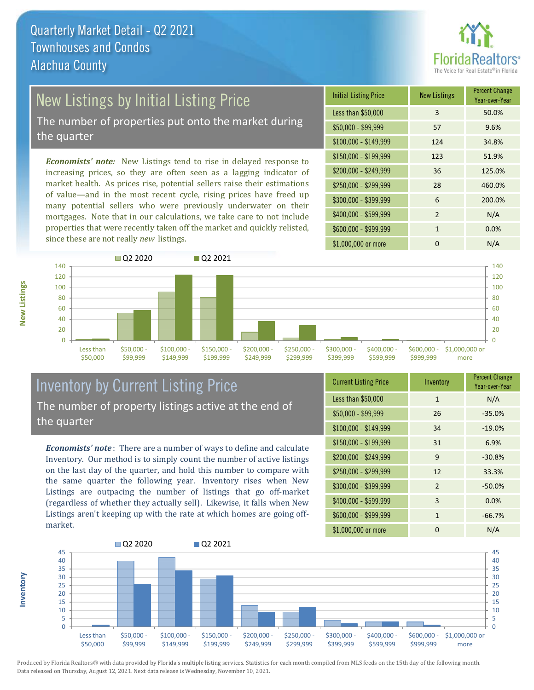

## New Listings by Initial Listing Price

The number of properties put onto the market during the quarter

*Economists' note:* New Listings tend to rise in delayed response to increasing prices, so they are often seen as a lagging indicator of market health. As prices rise, potential sellers raise their estimations of value—and in the most recent cycle, rising prices have freed up many potential sellers who were previously underwater on their mortgages. Note that in our calculations, we take care to not include properties that were recently taken off the market and quickly relisted, since these are not really *new* listings.





## Inventory by Current Listing Price The number of property listings active at the end of the quarter

*Economists' note* : There are a number of ways to define and calculate Inventory. Our method is to simply count the number of active listings on the last day of the quarter, and hold this number to compare with the same quarter the following year. Inventory rises when New Listings are outpacing the number of listings that go off-market (regardless of whether they actually sell). Likewise, it falls when New Listings aren't keeping up with the rate at which homes are going offmarket.

| <b>Current Listing Price</b> | Inventory    | <b>Percent Change</b><br>Year-over-Year |
|------------------------------|--------------|-----------------------------------------|
| Less than \$50,000           | $\mathbf{1}$ | N/A                                     |
| $$50,000 - $99,999$          | 26           | $-35.0%$                                |
| $$100,000 - $149,999$        | 34           | $-19.0%$                                |
| $$150,000 - $199,999$        | 31           | 6.9%                                    |
| \$200,000 - \$249,999        | 9            | $-30.8%$                                |
| \$250,000 - \$299,999        | 12           | 33.3%                                   |
| \$300,000 - \$399,999        | 2            | $-50.0%$                                |
| \$400,000 - \$599,999        | 3            | 0.0%                                    |
| \$600,000 - \$999,999        | $\mathbf{1}$ | $-66.7%$                                |
| \$1,000,000 or more          | ŋ            | N/A                                     |



Produced by Florida Realtors® with data provided by Florida's multiple listing services. Statistics for each month compiled from MLS feeds on the 15th day of the following month. Data released on Thursday, August 12, 2021. Next data release is Wednesday, November 10, 2021.

**Inventory**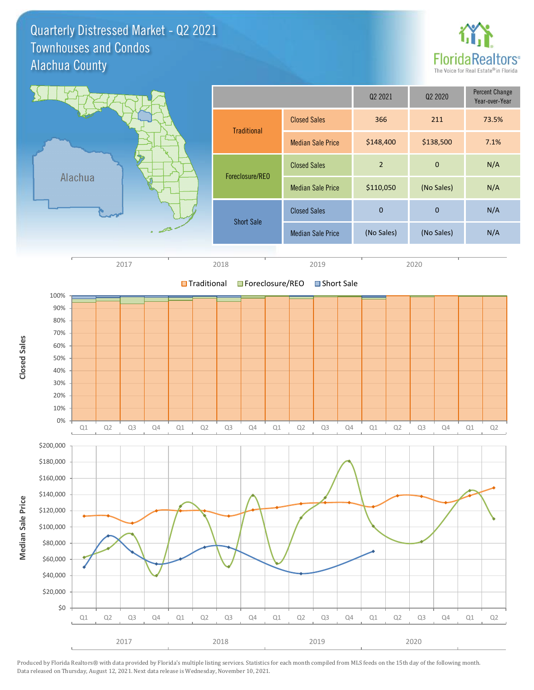Quarterly Distressed Market - Q2 2021 Alachua County Townhouses and Condos



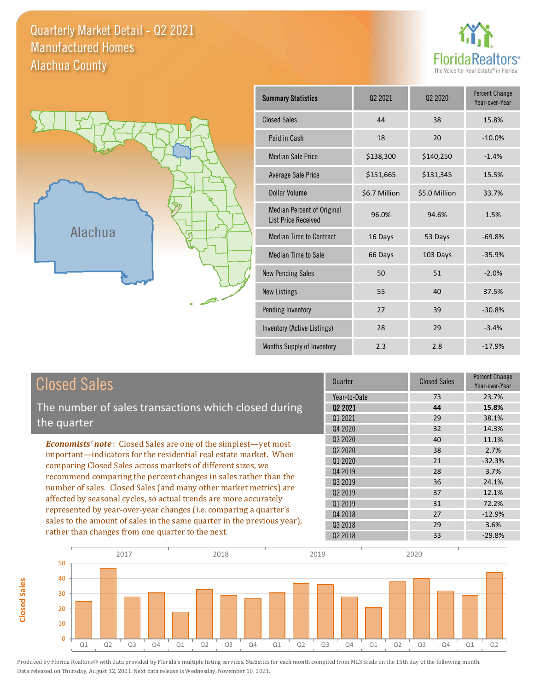Quarterly Market Detail - Q2 2021 Alachua County Manufactured Homes





**Closed Sales**

**Closed Sales** 

| <b>Summary Statistics</b>                                       | Q <sub>2</sub> 2021 | 022020        | <b>Percent Change</b><br>Year-over-Year |
|-----------------------------------------------------------------|---------------------|---------------|-----------------------------------------|
| <b>Closed Sales</b>                                             | 44                  | 38            | 15.8%                                   |
| Paid in Cash                                                    | 18                  | 20            | $-10.0%$                                |
| <b>Median Sale Price</b>                                        | \$138,300           | \$140,250     | $-1.4%$                                 |
| <b>Average Sale Price</b>                                       | \$151,665           | \$131,345     | 15.5%                                   |
| Dollar Volume                                                   | \$6.7 Million       | \$5.0 Million | 33.7%                                   |
| <b>Median Percent of Original</b><br><b>List Price Received</b> | 96.0%               | 94.6%         | 1.5%                                    |
| <b>Median Time to Contract</b>                                  | 16 Days             | 53 Days       | $-69.8%$                                |
| Median Time to Sale                                             | 66 Days             | 103 Days      | $-35.9%$                                |
| <b>New Pending Sales</b>                                        | 50                  | 51            | $-2.0%$                                 |
| <b>New Listings</b>                                             | 55                  | 40            | 37.5%                                   |
| Pending Inventory                                               | 27                  | 39            | $-30.8%$                                |
| Inventory (Active Listings)                                     | 28                  | 29            | $-3.4%$                                 |
| Months Supply of Inventory                                      | 2.3                 | 2.8           | $-17.9%$                                |

| <b>Closed Sales</b>                                                                                                              | Quarter             | <b>Closed Sales</b> | Percent Change<br>Year-over-Year |
|----------------------------------------------------------------------------------------------------------------------------------|---------------------|---------------------|----------------------------------|
|                                                                                                                                  | Year-to-Date        | 73                  | 23.7%                            |
| The number of sales transactions which closed during                                                                             | 02 2021             | 44                  | 15.8%                            |
| the quarter                                                                                                                      | 01 2021             | 29                  | 38.1%                            |
|                                                                                                                                  | Q4 2020             | 32                  | 14.3%                            |
| <b>Economists' note:</b> Closed Sales are one of the simplest—yet most                                                           | Q3 2020             | 40                  | 11.1%                            |
| important-indicators for the residential real estate market. When                                                                | Q <sub>2</sub> 2020 | 38                  | 2.7%                             |
| comparing Closed Sales across markets of different sizes, we<br>recommend comparing the percent changes in sales rather than the | Q1 2020             | 21                  | $-32.3%$                         |
|                                                                                                                                  | Q4 2019             | 28                  | 3.7%                             |
| number of sales. Closed Sales (and many other market metrics) are                                                                | Q3 2019             | 36                  | 24.1%                            |
| affected by seasonal cycles, so actual trends are more accurately                                                                | 02 2019             | 37                  | 12.1%                            |
|                                                                                                                                  | 01 2019             | 31                  | 72.2%                            |
| represented by year-over-year changes (i.e. comparing a quarter's                                                                | Q4 2018             | 27                  | $-12.9%$                         |
| sales to the amount of sales in the same quarter in the previous year),                                                          | 03 2018             | 29                  | 3.6%                             |
| rather than changes from one quarter to the next.                                                                                | 02 2018             | 33                  | $-29.8%$                         |

I

I

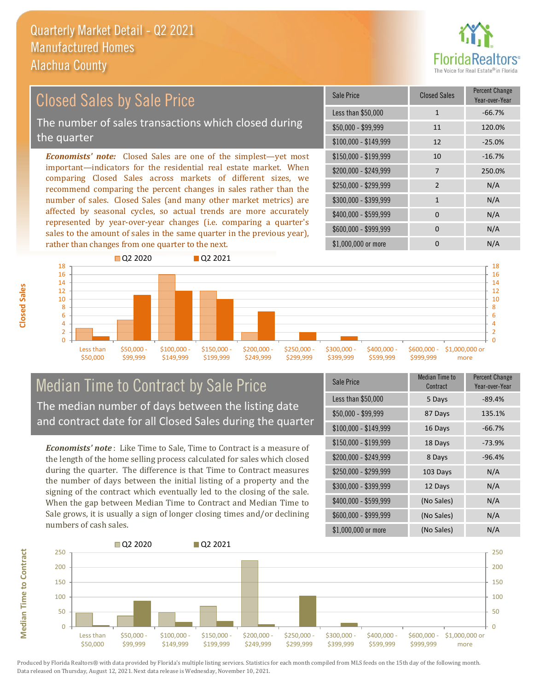

### *Economists' note:* Closed Sales are one of the simplest—yet most important—indicators for the residential real estate market. When comparing Closed Sales across markets of different sizes, we recommend comparing the percent changes in sales rather than the number of sales. Closed Sales (and many other market metrics) are \$250,000 - \$299,999 2 N/A \$300,000 - \$399,999 1 N/A \$150,000 - \$199,999 10 -16.7% \$200,000 - \$249,999 7 250.0% \$100,000 - \$149,999 12 -25.0% Sale Price Closed Sales Percent Change Year-over-Year Less than \$50,000 1 1 -66.7% \$50,000 - \$99,999 11 120.0% Closed Sales by Sale Price The number of sales transactions which closed during the quarter

affected by seasonal cycles, so actual trends are more accurately represented by year-over-year changes (i.e. comparing a quarter's sales to the amount of sales in the same quarter in the previous year), rather than changes from one quarter to the next.





## Median Time to Contract by Sale Price The median number of days between the listing date and contract date for all Closed Sales during the quarter

*Economists' note* : Like Time to Sale, Time to Contract is a measure of the length of the home selling process calculated for sales which closed during the quarter. The difference is that Time to Contract measures the number of days between the initial listing of a property and the signing of the contract which eventually led to the closing of the sale. When the gap between Median Time to Contract and Median Time to Sale grows, it is usually a sign of longer closing times and/or declining numbers of cash sales.

| <b>Sale Price</b>     | Median Time to<br>Contract | Percent Change<br>Year-over-Year |
|-----------------------|----------------------------|----------------------------------|
| Less than \$50,000    | 5 Days                     | $-89.4%$                         |
| $$50,000 - $99,999$   | 87 Days                    | 135.1%                           |
| $$100,000 - $149,999$ | 16 Days                    | $-66.7%$                         |
| $$150,000 - $199,999$ | 18 Days                    | $-73.9%$                         |
| \$200,000 - \$249,999 | 8 Days                     | $-96.4%$                         |
| \$250,000 - \$299,999 | 103 Days                   | N/A                              |
| \$300,000 - \$399,999 | 12 Days                    | N/A                              |
| \$400,000 - \$599,999 | (No Sales)                 | N/A                              |
| \$600,000 - \$999,999 | (No Sales)                 | N/A                              |
| \$1,000,000 or more   | (No Sales)                 | N/A                              |



Produced by Florida Realtors® with data provided by Florida's multiple listing services. Statistics for each month compiled from MLS feeds on the 15th day of the following month. Data released on Thursday, August 12, 2021. Next data release is Wednesday, November 10, 2021.

**Median Time to Contract**

**Median Time to Contract**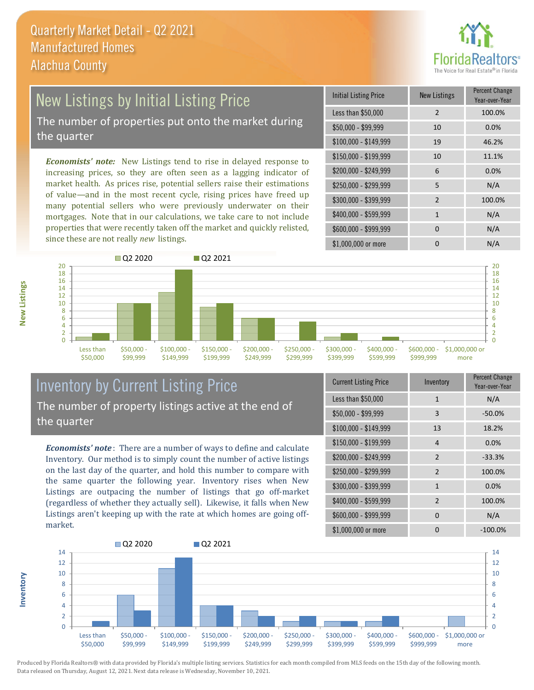

## New Listings by Initial Listing Price The number of properties put onto the market during

the quarter

*Economists' note:* New Listings tend to rise in delayed response to increasing prices, so they are often seen as a lagging indicator of market health. As prices rise, potential sellers raise their estimations of value—and in the most recent cycle, rising prices have freed up many potential sellers who were previously underwater on their mortgages. Note that in our calculations, we take care to not include properties that were recently taken off the market and quickly relisted, since these are not really *new* listings.

| <b>Initial Listing Price</b> | New Listings   | <b>Percent Change</b><br>Year-over-Year |
|------------------------------|----------------|-----------------------------------------|
| Less than \$50,000           | $\overline{2}$ | 100.0%                                  |
| $$50,000 - $99,999$          | 10             | 0.0%                                    |
| $$100,000 - $149,999$        | 19             | 46.2%                                   |
| \$150,000 - \$199,999        | 10             | 11.1%                                   |
| \$200,000 - \$249,999        | 6              | 0.0%                                    |
| \$250,000 - \$299,999        | 5              | N/A                                     |
| \$300,000 - \$399,999        | 2              | 100.0%                                  |
| \$400,000 - \$599,999        | $\mathbf{1}$   | N/A                                     |
| \$600,000 - \$999,999        | <sup>0</sup>   | N/A                                     |
| \$1,000,000 or more          | n              | N/A                                     |



## Inventory by Current Listing Price The number of property listings active at the end of the quarter

*Economists' note* : There are a number of ways to define and calculate Inventory. Our method is to simply count the number of active listings on the last day of the quarter, and hold this number to compare with the same quarter the following year. Inventory rises when New Listings are outpacing the number of listings that go off-market (regardless of whether they actually sell). Likewise, it falls when New Listings aren't keeping up with the rate at which homes are going offmarket.

| <b>Current Listing Price</b> | Inventory      | Percent Change<br>Year-over-Year |
|------------------------------|----------------|----------------------------------|
| Less than \$50,000           | 1              | N/A                              |
| $$50,000 - $99,999$          | 3              | $-50.0%$                         |
| $$100,000 - $149,999$        | 13             | 18.2%                            |
| $$150,000 - $199,999$        | 4              | 0.0%                             |
| \$200,000 - \$249,999        | $\mathcal{P}$  | $-33.3%$                         |
| \$250,000 - \$299,999        | 2              | 100.0%                           |
| \$300,000 - \$399,999        | $\mathbf{1}$   | 0.0%                             |
| \$400,000 - \$599,999        | $\overline{2}$ | 100.0%                           |
| \$600,000 - \$999,999        | $\Omega$       | N/A                              |
| \$1,000,000 or more          | ŋ              | $-100.0\%$                       |



Produced by Florida Realtors® with data provided by Florida's multiple listing services. Statistics for each month compiled from MLS feeds on the 15th day of the following month. Data released on Thursday, August 12, 2021. Next data release is Wednesday, November 10, 2021.

**Inventory**